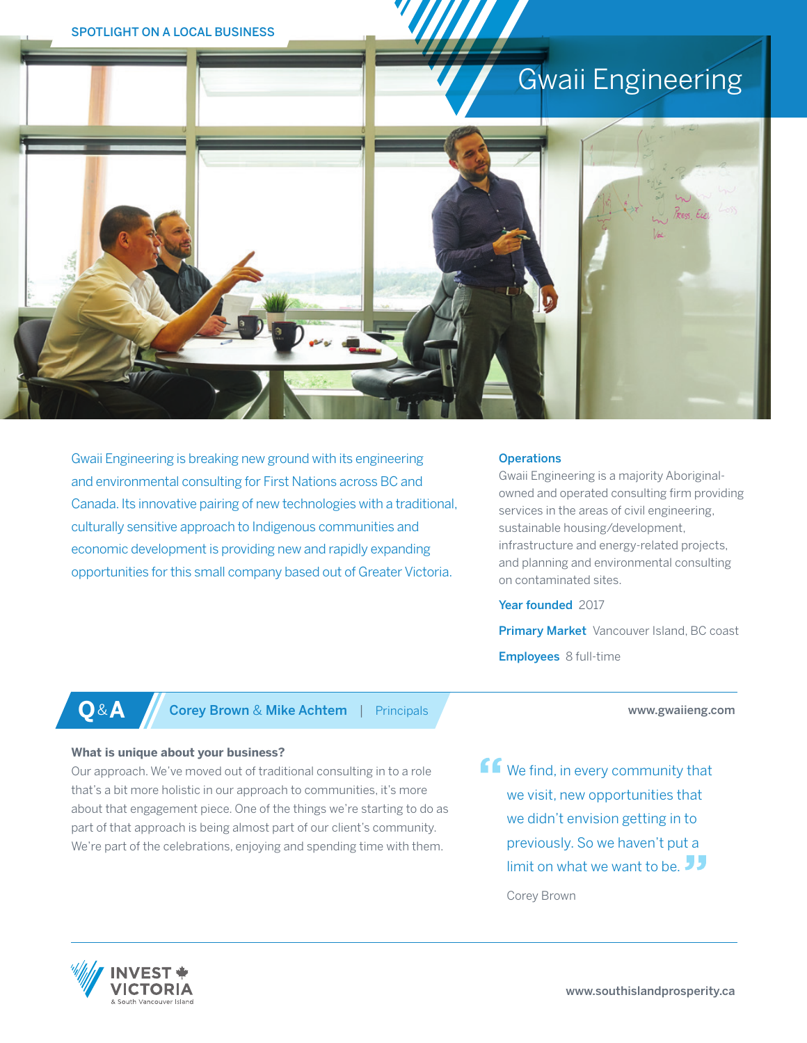# Gwaii Engineering



Gwaii Engineering is breaking new ground with its engineering and environmental consulting for First Nations across BC and Canada. Its innovative pairing of new technologies with a traditional, culturally sensitive approach to Indigenous communities and economic development is providing new and rapidly expanding opportunities for this small company based out of Greater Victoria.

### **Operations**

Gwaii Engineering is a majority Aboriginalowned and operated consulting firm providing services in the areas of civil engineering, sustainable housing/development, infrastructure and energy-related projects, and planning and environmental consulting on contaminated sites.

Year founded 2017

Primary Market Vancouver Island, BC coast Employees 8 full-time

www.gwaiieng.com

**Q**&**A** Corey Brown & Mike Achtem | Principals

### **What is unique about your business?**

Our approach. We've moved out of traditional consulting in to a role that's a bit more holistic in our approach to communities, it's more about that engagement piece. One of the things we're starting to do as part of that approach is being almost part of our client's community. We're part of the celebrations, enjoying and spending time with them.

**ff** We find, in every community that we visit, new opportunities that we didn't envision getting in to previously. So we haven't put a

limit on what we want to be.  $\overline{J}$ 

Corey Brown